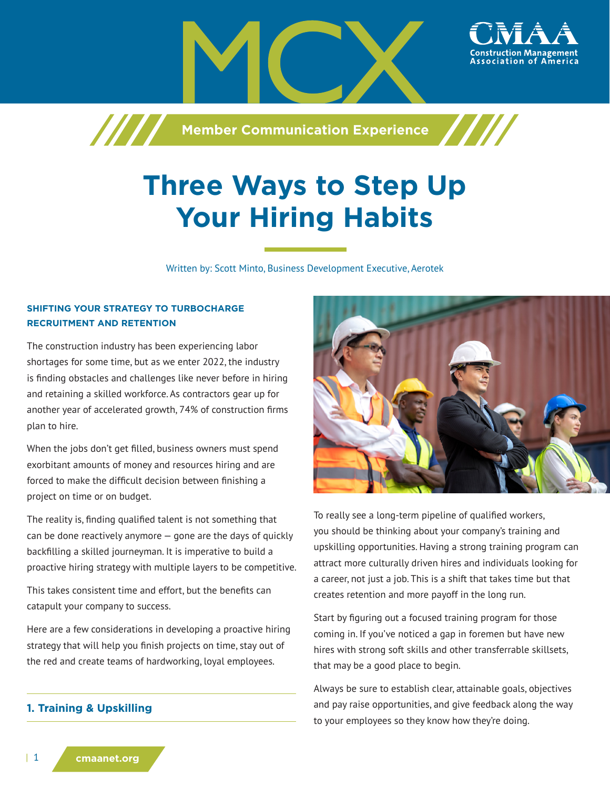

# **Three Ways to Step Up Your Hiring Habits**

Written by: Scott Minto, Business Development Executive, Aerotek

## **SHIFTING YOUR STRATEGY TO TURBOCHARGE RECRUITMENT AND RETENTION**

The construction industry has been experiencing labor shortages for some time, but as we enter 2022, the industry is finding obstacles and challenges like never before in hiring and retaining a skilled workforce. As contractors gear up for another year of accelerated growth, 74% of construction firms plan to hire.

When the jobs don't get filled, business owners must spend exorbitant amounts of money and resources hiring and are forced to make the difficult decision between finishing a project on time or on budget.

The reality is, finding qualified talent is not something that can be done reactively anymore — gone are the days of quickly backfilling a skilled journeyman. It is imperative to build a proactive hiring strategy with multiple layers to be competitive.

This takes consistent time and effort, but the benefits can catapult your company to success.

Here are a few considerations in developing a proactive hiring strategy that will help you finish projects on time, stay out of the red and create teams of hardworking, loyal employees.

# **1. Training & Upskilling**



To really see a long-term pipeline of qualified workers, you should be thinking about your company's training and upskilling opportunities. Having a strong training program can attract more culturally driven hires and individuals looking for a career, not just a job. This is a shift that takes time but that creates retention and more payoff in the long run.

Start by figuring out a focused training program for those coming in. If you've noticed a gap in foremen but have new hires with strong soft skills and other transferrable skillsets, that may be a good place to begin.

Always be sure to establish clear, attainable goals, objectives and pay raise opportunities, and give feedback along the way to your employees so they know how they're doing.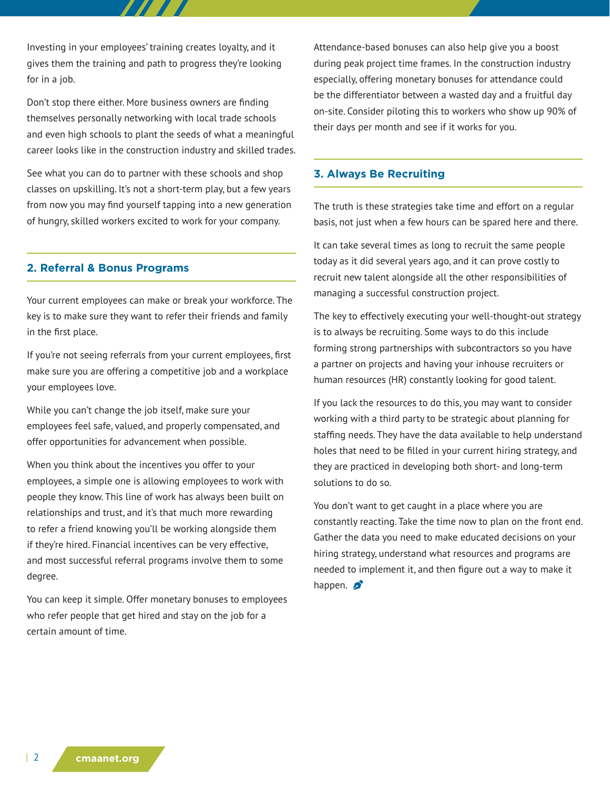Investing in your employees' training creates loyalty, and it gives them the training and path to progress they're looking for in a job.

Don't stop there either. More business owners are finding themselves personally networking with local trade schools and even high schools to plant the seeds of what a meaningful career looks like in the construction industry and skilled trades.

See what you can do to partner with these schools and shop classes on upskilling. It's not a short-term play, but a few years from now you may find yourself tapping into a new generation of hungry, skilled workers excited to work for your company.

#### **2. Referral & Bonus Programs**

Your current employees can make or break your workforce. The key is to make sure they want to refer their friends and family in the first place.

If you're not seeing referrals from your current employees, first make sure you are offering a competitive job and a workplace your employees love.

While you can't change the job itself, make sure your employees feel safe, valued, and properly compensated, and offer opportunities for advancement when possible.

When you think about the incentives you offer to your employees, a simple one is allowing employees to work with people they know. This line of work has always been built on relationships and trust, and it's that much more rewarding to refer a friend knowing you'll be working alongside them if they're hired. Financial incentives can be very effective, and most successful referral programs involve them to some degree.

You can keep it simple. Offer monetary bonuses to employees who refer people that get hired and stay on the job for a certain amount of time.

Attendance-based bonuses can also help give you a boost during peak project time frames. In the construction industry especially, offering monetary bonuses for attendance could be the differentiator between a wasted day and a fruitful day on-site. Consider piloting this to workers who show up 90% of their days per month and see if it works for you.

#### **3. Always Be Recruiting**

The truth is these strategies take time and effort on a regular basis, not just when a few hours can be spared here and there.

It can take several times as long to recruit the same people today as it did several years ago, and it can prove costly to recruit new talent alongside all the other responsibilities of managing a successful construction project.

The key to effectively executing your well-thought-out strategy is to always be recruiting. Some ways to do this include forming strong partnerships with subcontractors so you have a partner on projects and having your inhouse recruiters or human resources (HR) constantly looking for good talent.

If you lack the resources to do this, you may want to consider working with a third party to be strategic about planning for staffing needs. They have the data available to help understand holes that need to be filled in your current hiring strategy, and they are practiced in developing both short- and long-term solutions to do so.

You don't want to get caught in a place where you are constantly reacting. Take the time now to plan on the front end. Gather the data you need to make educated decisions on your hiring strategy, understand what resources and programs are needed to implement it, and then figure out a way to make it happen.  $\mathcal{D}$